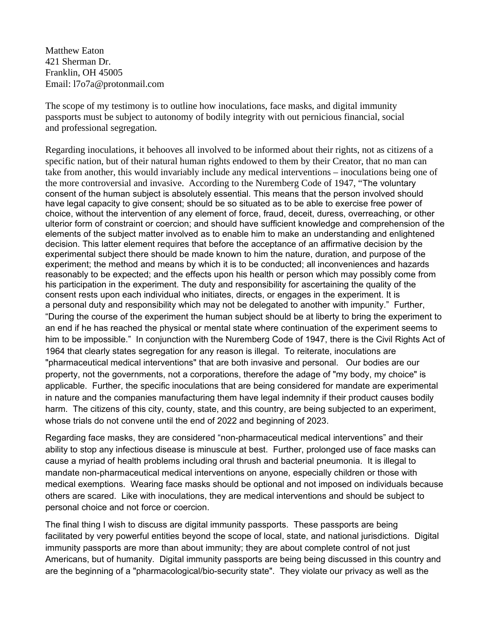Matthew Eaton 421 Sherman Dr. Franklin, OH 45005 Email: l7o7a@protonmail.com

The scope of my testimony is to outline how inoculations, face masks, and digital immunity passports must be subject to autonomy of bodily integrity with out pernicious financial, social and professional segregation.

Regarding inoculations, it behooves all involved to be informed about their rights, not as citizens of a specific nation, but of their natural human rights endowed to them by their Creator, that no man can take from another, this would invariably include any medical interventions – inoculations being one of the more controversial and invasive. According to the Nuremberg Code of 1947, "The voluntary consent of the human subject is absolutely essential. This means that the person involved should have legal capacity to give consent; should be so situated as to be able to exercise free power of choice, without the intervention of any element of force, fraud, deceit, duress, overreaching, or other ulterior form of constraint or coercion; and should have sufficient knowledge and comprehension of the elements of the subject matter involved as to enable him to make an understanding and enlightened decision. This latter element requires that before the acceptance of an affirmative decision by the experimental subject there should be made known to him the nature, duration, and purpose of the experiment; the method and means by which it is to be conducted; all inconveniences and hazards reasonably to be expected; and the effects upon his health or person which may possibly come from his participation in the experiment. The duty and responsibility for ascertaining the quality of the consent rests upon each individual who initiates, directs, or engages in the experiment. It is a personal duty and responsibility which may not be delegated to another with impunity." Further, "During the course of the experiment the human subject should be at liberty to bring the experiment to an end if he has reached the physical or mental state where continuation of the experiment seems to him to be impossible." In conjunction with the Nuremberg Code of 1947, there is the Civil Rights Act of 1964 that clearly states segregation for any reason is illegal. To reiterate, inoculations are "pharmaceutical medical interventions" that are both invasive and personal. Our bodies are our property, not the governments, not a corporations, therefore the adage of "my body, my choice" is applicable. Further, the specific inoculations that are being considered for mandate are experimental in nature and the companies manufacturing them have legal indemnity if their product causes bodily harm. The citizens of this city, county, state, and this country, are being subjected to an experiment, whose trials do not convene until the end of 2022 and beginning of 2023.

Regarding face masks, they are considered "non-pharmaceutical medical interventions" and their ability to stop any infectious disease is minuscule at best. Further, prolonged use of face masks can cause a myriad of health problems including oral thrush and bacterial pneumonia. It is illegal to mandate non-pharmaceutical medical interventions on anyone, especially children or those with medical exemptions. Wearing face masks should be optional and not imposed on individuals because others are scared. Like with inoculations, they are medical interventions and should be subject to personal choice and not force or coercion.

The final thing I wish to discuss are digital immunity passports. These passports are being facilitated by very powerful entities beyond the scope of local, state, and national jurisdictions. Digital immunity passports are more than about immunity; they are about complete control of not just Americans, but of humanity. Digital immunity passports are being being discussed in this country and are the beginning of a "pharmacological/bio-security state". They violate our privacy as well as the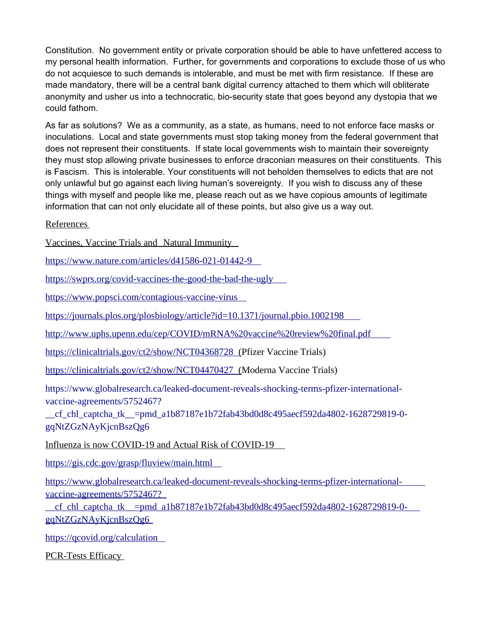Constitution. No government entity or private corporation should be able to have unfettered access to my personal health information. Further, for governments and corporations to exclude those of us who do not acquiesce to such demands is intolerable, and must be met with firm resistance. If these are made mandatory, there will be a central bank digital currency attached to them which will obliterate anonymity and usher us into a technocratic, bio-security state that goes beyond any dystopia that we could fathom.

As far as solutions? We as a community, as a state, as humans, need to not enforce face masks or inoculations. Local and state governments must stop taking money from the federal government that does not represent their constituents. If state local governments wish to maintain their sovereignty they must stop allowing private businesses to enforce draconian measures on their constituents. This is Fascism. This is intolerable. Your constituents will not beholden themselves to edicts that are not only unlawful but go against each living human's sovereignty. If you wish to discuss any of these things with myself and people like me, please reach out as we have copious amounts of legitimate information that can not only elucidate all of these points, but also give us a way out.

References

Vaccines, Vaccine Trials and Natural Immunity

https://www.nature.com/articles/d41586-021-01442-9

https://swprs.org/covid-vaccines-the-good-the-bad-the-ugly

https://www.popsci.com/contagious-vaccine-virus

https://journals.plos.org/plosbiology/article?id=10.1371/journal.pbio.1002198

http://www.uphs.upenn.edu/cep/COVID/mRNA%20vaccine%20review%20final.pdf

https://clinicaltrials.gov/ct2/show/NCT04368728 (Pfizer Vaccine Trials)

https://clinicaltrials.gov/ct2/show/NCT04470427 (Moderna Vaccine Trials)

https://www.globalresearch.ca/leaked-document-reveals-shocking-terms-pfizer-internationalvaccine-agreements/5752467?

\_\_cf\_chl\_captcha\_tk\_\_=pmd\_a1b87187e1b72fab43bd0d8c495aecf592da4802-1628729819-0 gqNtZGzNAyKjcnBszQg6

Influenza is now COVID-19 and Actual Risk of COVID-19

https://gis.cdc.gov/grasp/fluview/main.html

https://www.globalresearch.ca/leaked-document-reveals-shocking-terms-pfizer-internationalvaccine-agreements/5752467?

\_\_cf\_chl\_captcha\_tk\_\_=pmd\_a1b87187e1b72fab43bd0d8c495aecf592da4802-1628729819-0 gqNtZGzNAyKjcnBszQg6

https://qcovid.org/calculation

PCR-Tests Efficacy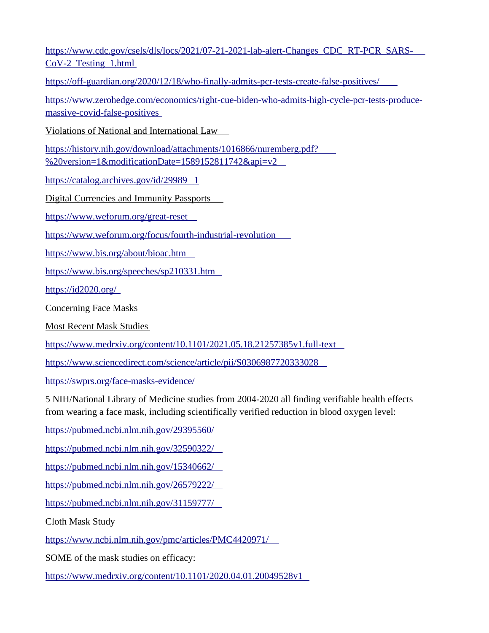https://www.cdc.gov/csels/dls/locs/2021/07-21-2021-lab-alert-Changes\_CDC\_RT-PCR\_SARS-CoV-2\_Testing\_1.html

https://off-guardian.org/2020/12/18/who-finally-admits-pcr-tests-create-false-positives/

https://www.zerohedge.com/economics/right-cue-biden-who-admits-high-cycle-pcr-tests-producemassive-covid-false-positives

Violations of National and International Law

https://history.nih.gov/download/attachments/1016866/nuremberg.pdf? %20version=1&modificationDate=1589152811742&api=v2

https://catalog.archives.gov/id/29989 1

Digital Currencies and Immunity Passports

https://www.weforum.org/great-reset

https://www.weforum.org/focus/fourth-industrial-revolution

https://www.bis.org/about/bioac.htm

https://www.bis.org/speeches/sp210331.htm

https://id2020.org/

Concerning Face Masks

Most Recent Mask Studies

https://www.medrxiv.org/content/10.1101/2021.05.18.21257385v1.full-text

https://www.sciencedirect.com/science/article/pii/S0306987720333028

https://swprs.org/face-masks-evidence/

5 NIH/National Library of Medicine studies from 2004-2020 all finding verifiable health effects from wearing a face mask, including scientifically verified reduction in blood oxygen level:

https://pubmed.ncbi.nlm.nih.gov/29395560/

https://pubmed.ncbi.nlm.nih.gov/32590322/

https://pubmed.ncbi.nlm.nih.gov/15340662/

https://pubmed.ncbi.nlm.nih.gov/26579222/

https://pubmed.ncbi.nlm.nih.gov/31159777/

Cloth Mask Study

https://www.ncbi.nlm.nih.gov/pmc/articles/PMC4420971/

SOME of the mask studies on efficacy:

https://www.medrxiv.org/content/10.1101/2020.04.01.20049528v1